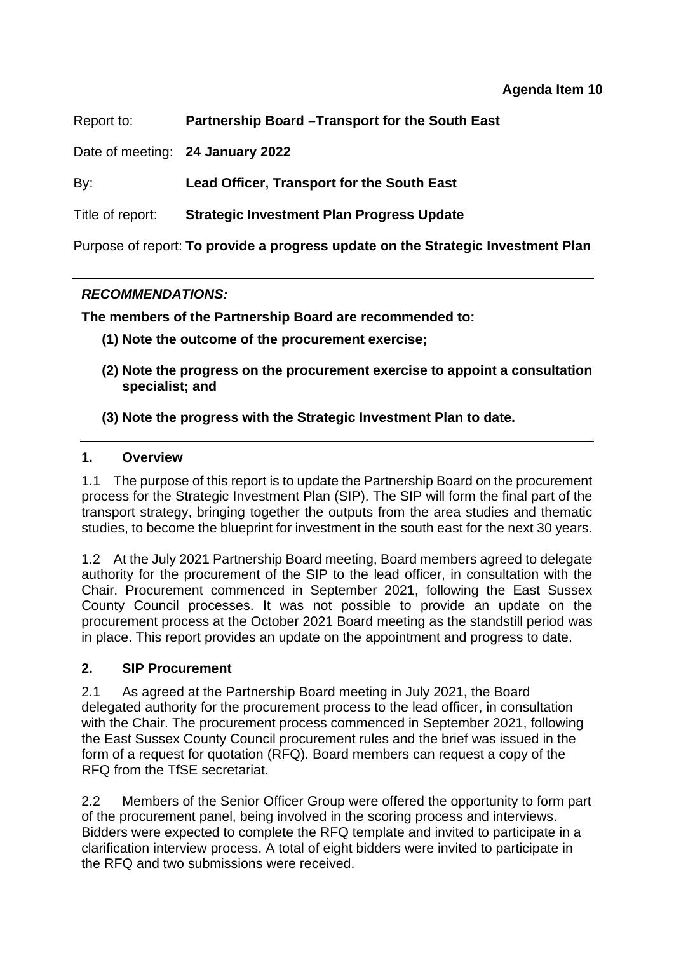Report to: **Partnership Board –Transport for the South East** 

Date of meeting: **24 January 2022**

By: **Lead Officer, Transport for the South East**

Title of report: **Strategic Investment Plan Progress Update** 

Purpose of report: **To provide a progress update on the Strategic Investment Plan** 

## *RECOMMENDATIONS:*

**The members of the Partnership Board are recommended to:** 

- **(1) Note the outcome of the procurement exercise;**
- **(2) Note the progress on the procurement exercise to appoint a consultation specialist; and**

## **(3) Note the progress with the Strategic Investment Plan to date.**

### **1. Overview**

1.1 The purpose of this report is to update the Partnership Board on the procurement process for the Strategic Investment Plan (SIP). The SIP will form the final part of the transport strategy, bringing together the outputs from the area studies and thematic studies, to become the blueprint for investment in the south east for the next 30 years.

1.2 At the July 2021 Partnership Board meeting, Board members agreed to delegate authority for the procurement of the SIP to the lead officer, in consultation with the Chair. Procurement commenced in September 2021, following the East Sussex County Council processes. It was not possible to provide an update on the procurement process at the October 2021 Board meeting as the standstill period was in place. This report provides an update on the appointment and progress to date.

### **2. SIP Procurement**

2.1 As agreed at the Partnership Board meeting in July 2021, the Board delegated authority for the procurement process to the lead officer, in consultation with the Chair. The procurement process commenced in September 2021, following the East Sussex County Council procurement rules and the brief was issued in the form of a request for quotation (RFQ). Board members can request a copy of the RFQ from the TfSE secretariat.

2.2 Members of the Senior Officer Group were offered the opportunity to form part of the procurement panel, being involved in the scoring process and interviews. Bidders were expected to complete the RFQ template and invited to participate in a clarification interview process. A total of eight bidders were invited to participate in the RFQ and two submissions were received.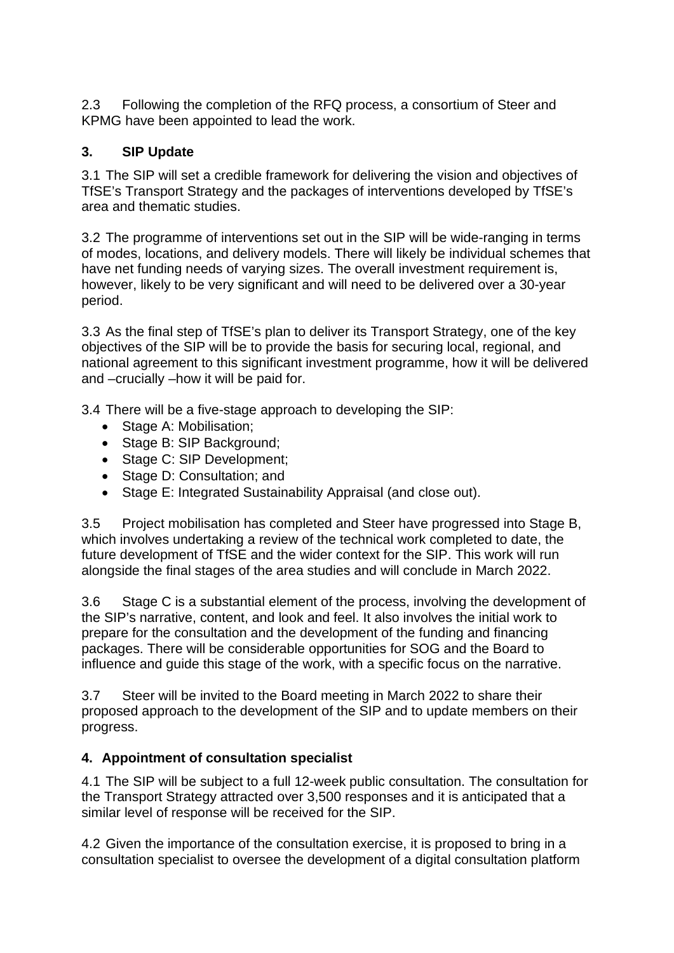2.3 Following the completion of the RFQ process, a consortium of Steer and KPMG have been appointed to lead the work.

# **3. SIP Update**

3.1 The SIP will set a credible framework for delivering the vision and objectives of TfSE's Transport Strategy and the packages of interventions developed by TfSE's area and thematic studies.

3.2 The programme of interventions set out in the SIP will be wide-ranging in terms of modes, locations, and delivery models. There will likely be individual schemes that have net funding needs of varying sizes. The overall investment requirement is, however, likely to be very significant and will need to be delivered over a 30-year period.

3.3 As the final step of TfSE's plan to deliver its Transport Strategy, one of the key objectives of the SIP will be to provide the basis for securing local, regional, and national agreement to this significant investment programme, how it will be delivered and –crucially –how it will be paid for.

3.4 There will be a five-stage approach to developing the SIP:

- Stage A: Mobilisation;
- Stage B: SIP Background;
- Stage C: SIP Development;
- Stage D: Consultation; and
- Stage E: Integrated Sustainability Appraisal (and close out).

3.5 Project mobilisation has completed and Steer have progressed into Stage B, which involves undertaking a review of the technical work completed to date, the future development of TfSE and the wider context for the SIP. This work will run alongside the final stages of the area studies and will conclude in March 2022.

3.6 Stage C is a substantial element of the process, involving the development of the SIP's narrative, content, and look and feel. It also involves the initial work to prepare for the consultation and the development of the funding and financing packages. There will be considerable opportunities for SOG and the Board to influence and guide this stage of the work, with a specific focus on the narrative.

3.7 Steer will be invited to the Board meeting in March 2022 to share their proposed approach to the development of the SIP and to update members on their progress.

## **4. Appointment of consultation specialist**

4.1 The SIP will be subject to a full 12-week public consultation. The consultation for the Transport Strategy attracted over 3,500 responses and it is anticipated that a similar level of response will be received for the SIP.

4.2 Given the importance of the consultation exercise, it is proposed to bring in a consultation specialist to oversee the development of a digital consultation platform